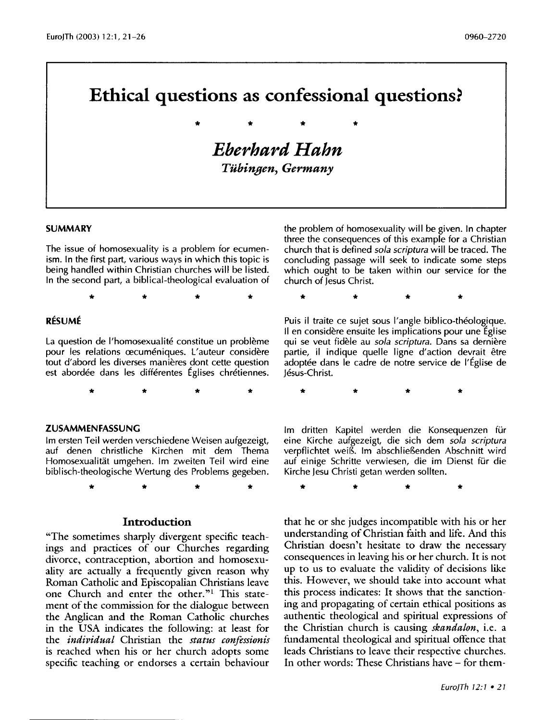# **Ethical questions as confessional questions?**

*Eberhard Hahn Tubingen, Germany* 

\* \* \* \*

#### **SUMMARY**

The issue of homosexuality is a problem for ecumenism. In the first part, various ways in which this topic is being handled within Christian churches will be listed. In the second part, a biblical-theological evaluation of

\* \* \* \*

\* \* \* \*

\* \* \* \*

#### **RESUME**

La question de l'homosexualité constitue un problème pour les relations œcuméniques. L'auteur considère tout d'abord les diverses manieres dont cette question est abordée dans les différentes Églises chrétiennes.

**ZUSAMMENFASSUNG** 

Im ersten Teil werden verschiedene Weisen aufgezeigt, auf denen christliche Kirchen mit dem Thema Homosexualitat umgehen. lm zweiten Teil wird eine biblisch-theologische Wertung des Problems gegeben.

**Introduction** 

"The sometimes sharply divergent specific teachings and practices of our Churches regarding divorce, contraception, abortion and homosexuality are actually a frequently given reason why Roman Catholic and Episcopalian Christians leave one Church and enter the other."<sup>1</sup> This statement of the commission for the dialogue between the Anglican and the Roman Catholic churches in the USA indicates the following: at least for the *individual* Christian the *status confessionis*  is reached when his or her church adopts some specific teaching or endorses a certain behaviour

the problem of homosexuality will be given. In chapter three the consequences of this example for a Christian church that is defined *sola scriptura* will be traced. The concluding passage will seek to indicate some steps which ought to be taken within our service for the church of Jesus Christ.

\* \* \* \*

Puis il traite ce sujet sous l'angle biblico-théologique. 11 en considere ensuite les implications pour une Eglise qui se veut fidele au *sola scriptura.* Dans sa derniere partie, il indique quelle ligne d'action devrait être adoptée dans le cadre de notre service de l'Église de Iésus-Christ.

\* \* \* \*

Im dritten Kapitel werden die Konsequenzen für eine Kirche aufgezeigt, die sich dem *sola scriptura*  verpflichtet weiß. Im abschließenden Abschnitt wird auf einige Schritte verwiesen, die im Dienst für die Kirche Jesu Christi getan werden sollten.

\* \* \* \*

that he or she judges incompatible with his or her understanding of Christian faith and life. And this Christian doesn't hesitate to draw the necessary consequences in leaving his or her church. It is not up to us to evaluate the validity of decisions like this. However, we should take into account what this process indicates: It shows that the sanctioning and propagating of certain ethical positions as authentic theological and spiritual expressions of the Christian church is causing *skandalon,* i.e. a fundamental theological and spiritual offence that leads Christians to leave their respective churches. In other words: These Christians have- for them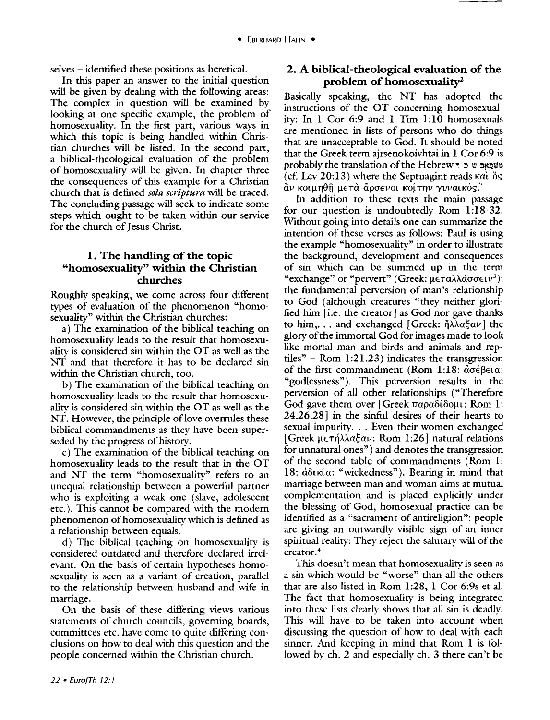selves - identified these positions as heretical.

In this paper an answer to the initial question will be given by dealing with the following areas: The complex in question will be examined by looking at one specific example, the problem of homosexuality. In the first part, various ways in which this topic is being handled within Christian churches will be listed. In the second part, a biblical-theological evaluation of the problem of homosexuality will be given. In chapter three the consequences of this example for a Christian church that is defined *sola scriptura* will be traced. The concluding passage will seek to indicate some steps which ought to be taken within our service for the church of Jesus Christ.

### I. The handling of the topic "homosexuality" within the Christian churches

Roughly speaking, we come across four different types of evaluation of the phenomenon "homosexuality" within the Christian churches:

a) The examination of the biblical teaching on homosexuality leads to the result that homosexuality is considered sin within the OT as well as the NT and that therefore it has to be declared sin within the Christian church, too.

b) The examination of the biblical teaching on homosexuality leads to the result that homosexuality is considered sin within the OT as well as the NT. However, the principle of love overrules these biblical commandments as they have been superseded by the progress of history.

c) The examination of the biblical teaching on homosexuality leads to the result that in the OT and NT the term "homosexuality" refers to an unequal relationship between a powerful partner who is exploiting a weak one (slave, adolescent etc.). This cannot be compared with the modem phenomenon of homosexuality which is defined as a relationship between equals.

d) The biblical teaching on homosexuality is considered outdated and therefore declared irrelevant. On the basis of certain hypotheses homosexuality is seen as a variant of creation, parallel to the relationship between husband and wife in marriage.

On the basis of these differing views various statements of church councils, governing boards, committees etc. have come to quite differing conclusions on how to deal with this question and the people concerned within the Christian church.

# 2. A biblical-theological evaluation of the problem of homosexuality<sup>2</sup>

Basically speaking, the NT has adopted the instructions of the OT concerning homosexuality: In 1 Cor 6:9 and 1 Tim 1:10 homosexuals are mentioned in lists of persons who do things that are unacceptable to God. It should be noted that the Greek term ajrsenokoivhtai in 1 Cor 6:9 is probably the translation of the Hebrew השכאב ש כ ר (cf. Lev 20:13) where the Septuagint reads  $\kappa a \hat{i} \delta s$  $\ddot{a}$ ν κοιμηθή μετά άρσενοι κοίτην γυναικός."

In addition to these texts the main passage for our question is undoubtedly Rom 1:18-32. Without going into details one can summarize the intention of these verses as follows: Paul is using the example "homosexuality" in order to illustrate the background, development and consequences of sin which can be summed up in the term "exchange" or "pervert" (Greek:  $\mu \in \pi$ a $\lambda \lambda$ á $\sigma$ σ $\in \mathcal{V}^3$ ): the fundamental perversion of man's relationship to God (although creatures "they neither glorified him [i.e. the creator] as God nor gave thanks to him, ... and exchanged [Greek:  $\eta \lambda \lambda a \xi a \nu$ ] the glory of the immortal God for images made to look like mortal man and birds and animals and reptiles" - Rom 1:21.23) indicates the transgression of the first commandment (Rom 1:18:  $\dot{a}$  $\sigma \acute{\epsilon}$  $\beta \epsilon$ La: "godlessness"). This perversion results in the perversion of all other relationships ("Therefore God gave them over [Greek  $\pi$ a $\alpha\delta$ ίδομι: Rom 1: 24.26.28] in the sinful desires of their hearts to sexual impurity. . . Even their women exchanged [Greek  $\mu \in \pi \hat{n} \lambda \hat{\alpha} \hat{\alpha} \omega$ : Rom 1:26] natural relations for unnatural ones") and denotes the transgression of the second table of commandments (Rom 1: 18: άδικία: "wickedness"). Bearing in mind that marriage between man and woman aims at mutual complementation and is placed explicitly under the blessing of God, homosexual practice can be identified as a "sacrament of antireligion": people are giving an outwardly visible sign of an inner spiritual reality: They reject the salutary will of the creator. <sup>4</sup>

This doesn't mean that homosexuality is seen as a sin which would be "worse" than all the others that are also listed in Rom 1:28, 1 Cor 6:9s et al. The fact that homosexuality is being integrated into these lists clearly shows that all sin is deadly. This will have to be taken into account when discussing the question of how to deal with each sinner. And keeping in mind that Rom 1 is followed by eh. 2 and especially eh. 3 there can't be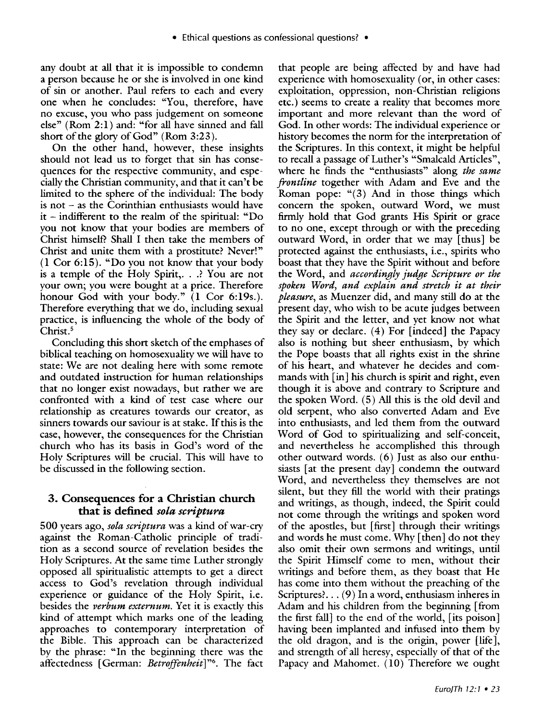any doubt at all that it is impossible to condemn a person because he or she is involved in one kind of sin or another. Paul refers to each and every one when he concludes: "You, therefore, have no excuse, you who pass judgement on someone else" (Rom 2:1) and: "for all have sinned and fall short of the glory of God" (Rom 3:23).

On the other hand, however, these insights should not lead us to forget that sin has consequences for the respective community, and especially the Christian community, and that it can't be limited to the sphere of the individual: The body is not - as the Corinthian enthusiasts would have it- indifferent to the realm of the spiritual: "Do you not know that your bodies are members of Christ himself? Shall I then take the members of Christ and unite them with a prostitute? Never!" (1 Cor 6:15). "Do you not know that your body is a temple of the Holy Spirit, ... ? You are not your own; you were bought at a price. Therefore honour God with your body." (1 Cor 6:19s.). Therefore everything that we do, including sexual practice, is influencing the whole of the body of Christ.<sup>5</sup>

Concluding this short sketch of the emphases of biblical teaching on homosexuality we will have to state: We are not dealing here with some remote and outdated instruction for human relationships that no longer exist nowadays, but rather we are confronted with a kind of test case where our relationship as creatures towards our creator, as sinners towards our saviour is at stake. If this is the case, however, the consequences for the Christian church who has its basis in God's word of the Holy Scriptures will be crucial. This will have to be discussed in the following section.

# 3. Consequences for a Christian church that is defined *sola scriptura*

500 years ago, *sola scriptura* was a kind of war-cry against the Roman-Catholic principle of tradition as a second source of revelation besides the Holy Scriptures. At the same time Luther strongly opposed all spiritualistic attempts to get a direct access to God's revelation through individual experience or guidance of the Holy Spirit, i.e. besides the *verbum externum.* Yet it is exactly this kind of attempt which marks one of the leading approaches to contemporary interpretation of the Bible. This approach can be characterized by the phrase: "In the beginning there was the affectedness [German: *Betroffenheit*]"<sup>6</sup>. The fact

that people are being affected by and have had experience with homosexuality (or, in other cases: exploitation, oppression, non-Christian religions etc.) seems to create a reality that becomes more important and more relevant than the word of God. In other words: The individual experience or history becomes the norm for the interpretation of the Scriptures. In this context, it might be helpful to recall a passage of Luther's "Smalcald Articles", where he finds the "enthusiasts" along *the same frontline* together with Adam and Eve and the Roman pope:  $(3)$  And in those things which concern the spoken, outward Word, we must firmly hold that God grants His Spirit or grace to no one, except through or with the preceding outward Word, in order that we may [thus] be protected against the enthusiasts, i.e., spirits who boast that they have the Spirit without and before the Word, and *accordingly judge Scripture or the spoken Word, and explain and stretch it at their pleasure,* as Muenzer did, and many still do at the present day, who wish to be acute judges between the Spirit and the letter, and yet know not what they say or declare. (4) For [indeed] the Papacy also is nothing but sheer enthusiasm, by which the Pope boasts that all rights exist in the shrine of his heart, and whatever he decides and commands with [in] his church is spirit and right, even though it is above and contrary to Scripture and the spoken Word.  $(5)$  All this is the old devil and old serpent, who also converted Adam and Eve into enthusiasts, and led them from the outward Word of God to spiritualizing and self-conceit, and nevertheless he accomplished this through other outward words. (6) Just as also our enthusiasts [at the present day] condemn the outward Word, and nevertheless they themselves are not silent, but they fill the world with their pratings and writings, as though, indeed, the Spirit could not come through the writings and spoken word of the apostles, but [first] through their writings and words he must come. Why [then] do not they also omit their own sermons and writings, until the Spirit Himself come to men, without their writings and before them, as they boast that He has come into them without the preaching of the Scriptures?... (9) In a word, enthusiasm inheres in Adam and his children from the beginning [from the first fall] to the end of the world, [its poison] having been implanted and infused into them by the old dragon, and is the origin, power [life], and strength of all heresy, especially of that of the Papacy and Mahomet. (10) Therefore we ought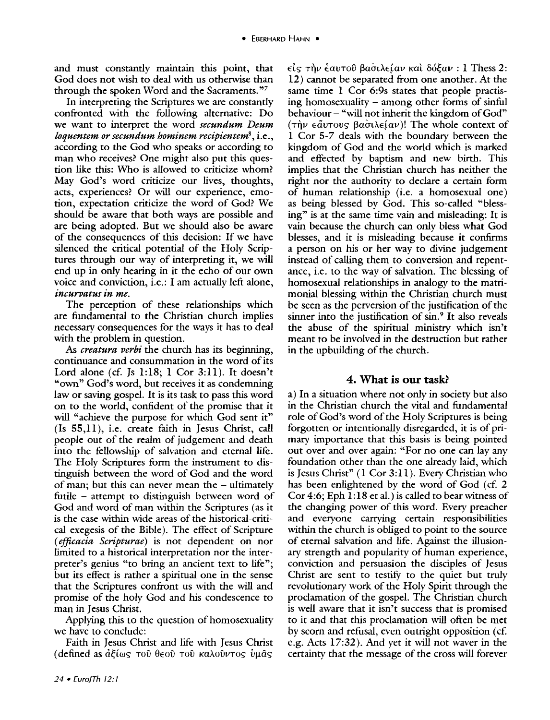and must constantly maintain this point, that God does not wish to deal with us otherwise than through the spoken Word and the Sacraments."<sup>7</sup>

In interpreting the Scriptures we are constantly confronted with the following alternative: Do we want to interpret the word *secundum Deum loquentem or secundum hominem recipientem8,* i.e., according to the God who speaks or according to man who receives? One might also put this question like this: Who is allowed to criticize whom? May God's word criticize our lives, thoughts, acts, experiences? Or will our experience, emotion, expectation criticize the word of God? We should be aware that both ways are possible and are being adopted. But we should also be aware of the consequences of this decision: If we have silenced the critical potential of the Holy Scriptures through our way of interpreting it, we will end up in only hearing in it the echo of our own voice and conviction, i.e.: I am actually left alone, *incurvatus in me.* 

The perception of these relationships which are fundamental to the Christian church implies necessary consequences for the ways it has to deal with the problem in question.

As *creatura verbi* the church has its beginning, continuance and consummation in the word of its Lord alone (cf. Js I:I8; I Cor 3:ll). It doesn't "own" God's word, but receives it as condemning law or saving gospel. It is its task to pass this word on to the world, confident of the promise that it will "achieve the purpose for which God sent it" (Is SS,ll), i.e. create faith in Jesus Christ, call people out of the realm of judgement and death into the fellowship of salvation and eternal life. The Holy Scriptures form the instrument to distinguish between the word of God and the word of man; but this can never mean the - ultimately futile - attempt to distinguish between word of God and word of man within the Scriptures (as it is the case within wide areas of the historical-critical exegesis of the Bible). The effect of Scripture ( *efficacia Scripturae)* is not dependent on nor limited to a historical interpretation nor the interpreter's genius "to bring an ancient text to life"; but its effect is rather a spiritual one in the sense that the Scriptures confront us with the will and promise of the holy God and his condescence to man in Jesus Christ.

Applying this to the question of homosexuality we have to conclude:

Faith in Jesus Christ and life with Jesus Christ  $(defined as  $d\xi(\omega_S \tau 0\hat{\upsilon} \theta \in 0\hat{\upsilon} \tau 0\hat{\upsilon} \kappa \alpha \lambda 0\hat{\upsilon} \nu \tau 0 \varsigma \hat{\upsilon} \mu \hat{\alpha} \varsigma)$$ 

Eis T~v E:auTou j3aatA.E~av Kat *06cav* : I Thess 2: 12) cannot be separated from one another. At the same time 1 Cor 6:9s states that people practising homosexuality - among other forms of sinful behaviour - "will not inherit the kingdom of God" ( $\tau \hat{\mathbf{n}}\nu$   $\epsilon \tilde{\mathbf{a}}\nu$   $\tau \omega s$   $\beta \alpha \tilde{\mathbf{a}}\nu \lambda \epsilon (\alpha \nu)$ ! The whole context of I Cor 5-7 deals with the boundary between the kingdom of God and the world which is marked and effected by baptism and new birth. This implies that the Christian church has neither the right nor the authority to declare a certain form of human relationship (i.e. a homosexual one) as being blessed by God. This so-called "blessing" is at the same time vain and misleading: It is vain because the church can only bless what God blesses, and it is misleading because it confirms a person on his or her way to divine judgement instead of calling them to conversion and repentance, i.e. to the way of salvation. The blessing of homosexual relationships in analogy to the matrimonial blessing within the Christian church must be seen as the perversion of the justification of the sinner into the justification of sin.<sup>9</sup> It also reveals the abuse of the spiritual ministry which isn't meant to be involved in the destruction but rather in the up building of the church.

# **4. What is our task?**

a) In a situation where not only in society but also in the Christian church the vital and fundamental role of God's word of the Holy Scriptures is being forgotten or intentionally disregarded, it is of primary importance that this basis is being pointed out over and over again: "For no one can lay any foundation other than the one already laid, which is Jesus Christ" (I Cor 3:ll ). Every Christian who has been enlightened by the word of God (cf. 2 Cor 4:6; Eph  $1:18$  et al.) is called to bear witness of the changing power of this word. Every preacher and everyone carrying certain responsibilities within the church is obliged to point to the source of eternal salvation and life. Against the illusionary strength and popularity of human experience, conviction and persuasion the disciples of Jesus Christ are sent to testify to the quiet but truly revolutionary work of the Holy Spirit through the proclamation of the gospel. The Christian church is well aware that it isn't success that is promised to it and that this proclamation \vill often be met by scorn and refusal, even outright opposition (cf. e.g. Acts I7:32). And yet it will not waver in the certainty that the message of the cross will forever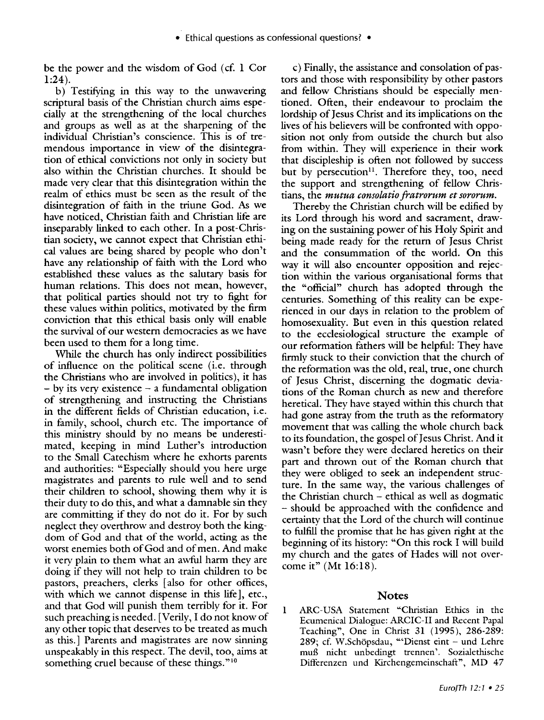be the power and the wisdom of God (cf. 1 Cor 1:24).

b) Testifying in this way to the unwavering scriptural basis of the Christian church aims especially at the strengthening of the local churches and groups as well as at the sharpening of the individual Christian's conscience. This is of tremendous importance in view of the disintegration of ethical convictions not only in society but also within the Christian churches. It should be made verv clear that this disintegration within the realm of ethics must be seen as the result of the disintegration of taith in the triune God. As we have noticed, Christian faith and Christian life are inseparably linked to each other. In a post-Christian society, we cannot expect that Christian ethical values are being shared by people who don't have any relationship of faith with the Lord who established these values as the salutary basis for human relations. This does not mean, however, that political parties should not try to fight for these values within politics, motivated by the firm conviction that this ethical basis only will enable the survival of our western democracies as we have been used to them for a long time.

While the church has only indirect possibilities of influence on the political scene (i.e. through the Christians who are involved in politics), it has  $-$  by its very existence  $-$  a fundamental obligation of strengthening and instructing the Christians in the different fields of Christian education, i.e. in family, school, church etc. The importance of this ministry should by no means be underestimated, keeping in mind Luther's introduction to the Small Catechism where he exhorts parents and authorities: "Especially should you here urge magistrates and parents to rule well and to send their children to school, showing them why it is their duty to do this, and what a damnable sin they are committing if they do not do it. For by such neglect they overthrow and destroy both the kingdom of God and that of the world, acting as the worst enemies both of God and of men. And make it very plain to them what an awful harm they are doing if they will not help to train children to be pastors, preachers, clerks [also for other offices, with which we cannot dispense in this life], etc., and that God will punish them terribly for it. For such preaching is needed. [Verily, I do not know of any other topic that deserves to be treated as much as this.] Parents and magistrates are now sinning unspeakably in this respect. The devil, too, aims at something cruel because of these things."<sup>10</sup>

c) Finally, the assistance and consolation of pastors and those with responsibility by other pastors and fellow Christians should be especially mentioned. Often, their endeavour to proclaim the lordship of Jesus Christ and its implications on the lives of his believers will be confronted with opposition not only from outside the church but also from within. They will experience in their work that discipleship is often not followed by success but by persecution<sup>11</sup>. Therefore they, too, need the support and strengthening of fellow Christians, the *mutua consolatio fratrorum et sororum.* 

Thereby the Christian church will be edified by its Lord through his word and sacrament, drawing on the sustaining power of his Holy Spirit and being made ready for the return of Jesus Christ and the consummation of the world. On this wav it will also encounter opposition and rejection within the various organisational forms that the "official" church has adopted through the centuries. Something of this reality can be experienced in our days in relation to the problem of homosexuality. But even in this question related to the ecclesiological structure the example of our reformation fathers will be helpful: They have firmly stuck to their conviction that the church of the reformation was the old, real, true, one church of Jesus Christ, discerning the dogmatic deviations of the Roman church as new and therefore heretical. They have stayed within this church that had gone astray from the truth as the reformatory movement that was calling the whole church back to its foundation, the gospel of Jesus Christ. And it wasn't before they were declared heretics on their part and thrown out of the Roman church that they were obliged to seek an independent structure. In the same way, the various challenges of the Christian church - ethical as well as dogmatic - should be approached with the confidence and certainty that the Lord of the church will continue to fulfill the promise that he has given right at the beginning of its history: "On this rock I will build my church and the gates of Hades will not overcome it" (Mt 16:18).

#### **Notes**

1 ARC-USA Statement "Christian Ethics in the Ecumenical Dialogue: ARCIC-11 and Recent Papal Teaching", One in Christ 31 (1995), 286-289: 289; cf. W.Schöpsdau, "Dienst eint - und Lehre muB nicht unbedingt trennen'. Sozialethische Differenzen und Kirchengemeinschaft", MD 47